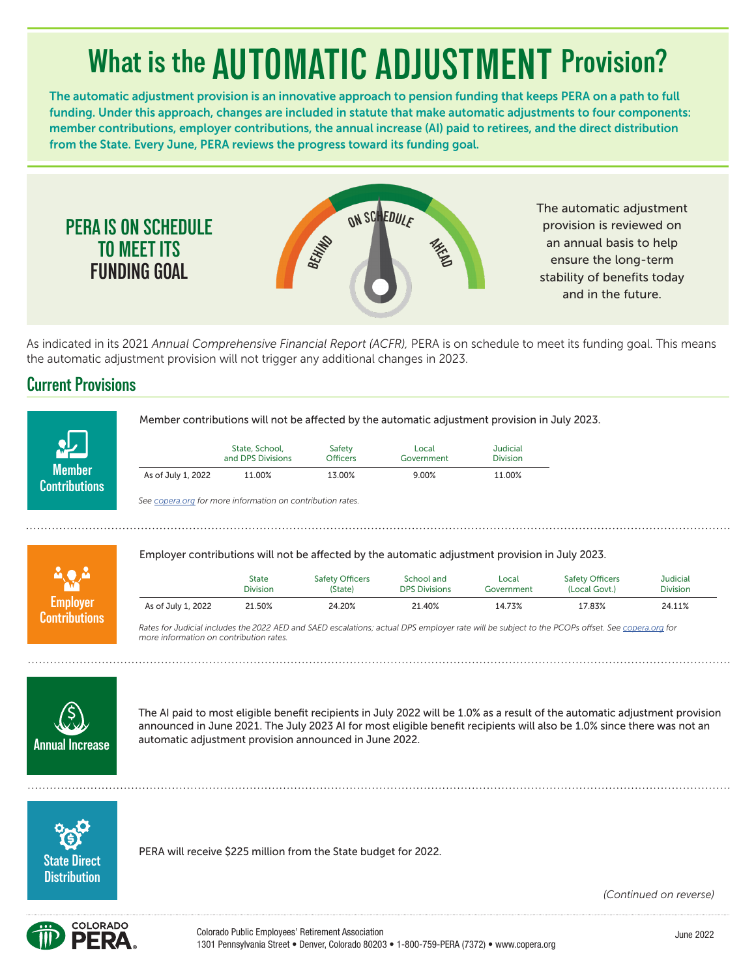# **What is the AUTOMATIC ADJUSTMENT Provision?**

The automatic adjustment provision is an innovative approach to pension funding that keeps PERA on a path to full funding. Under this approach, changes are included in statute that make automatic adjustments to four components: member contributions, employer contributions, the annual increase (AI) paid to retirees, and the direct distribution from the State. Every June, PERA reviews the progress toward its funding goal.



The automatic adjustment provision is reviewed on an annual basis to help ensure the long-term stability of benefits today and in the future.

As indicated in its 2021 *Annual Comprehensive Financial Report (ACFR),* PERA is on schedule to meet its funding goal. This means the automatic adjustment provision will not trigger any additional changes in 2023.

### **Current Provisions**

**PERA IS ON SCHEDULE TO MEET ITS FUNDING GOAL**



Member contributions will not be affected by the automatic adjustment provision in July 2023.

|                    | State, School,    | Safety          | Local      | Judicial        |
|--------------------|-------------------|-----------------|------------|-----------------|
|                    | and DPS Divisions | <b>Officers</b> | Government | <b>Division</b> |
| As of July 1, 2022 | 11.00%            | 13.00%          | $9.00\%$   | 11.00%          |

*See copera.org for more information on contribution rates.*

**Employer Contributions** Employer contributions will not be affected by the automatic adjustment provision in July 2023.

|                    | State           | <b>Safety Officers</b> | School and           | Local      | <b>Safety Officers</b> | Judicial        |
|--------------------|-----------------|------------------------|----------------------|------------|------------------------|-----------------|
|                    | <b>Division</b> | (State)                | <b>DPS Divisions</b> | Government | (Local Govt.)          | <b>Division</b> |
| As of July 1, 2022 | 21.50%          | 24.20%                 | 21.40%               | 14.73%     | 17.83%                 | 24.11%          |

*Rates for Judicial includes the 2022 AED and SAED escalations; actual DPS employer rate will be subject to the PCOPs offset. See copera.org for more information on contribution rates.*



The AI paid to most eligible benefit recipients in July 2022 will be 1.0% as a result of the automatic adjustment provision announced in June 2021. The July 2023 AI for most eligible benefit recipients will also be 1.0% since there was not an automatic adjustment provision announced in June 2022.



PERA will receive \$225 million from the State budget for 2022.

*(Continued on reverse)*